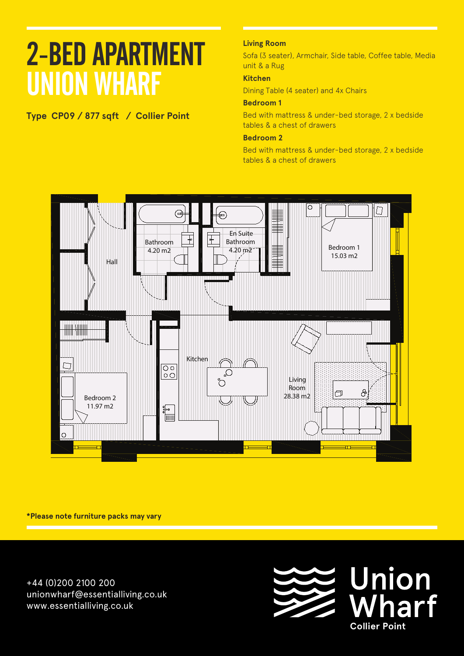**Type CP09 / 877 sqft / Collier Point**

### **Living Room**

Sofa (3 seater), Armchair, Side table, Coffee table, Media unit & a Rug

### **Kitchen**

Dining Table (4 seater) and 4x Chairs

### **Bedroom 1**

Bed with mattress & under-bed storage, 2 x bedside tables & a chest of drawers

### **Bedroom 2**

Bed with mattress & under-bed storage, 2 x bedside tables & a chest of drawers



**\*Please note furniture packs may vary**

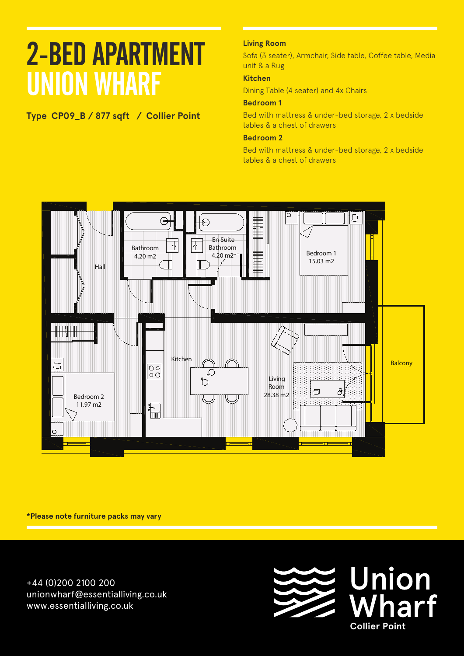## **Type CP09\_B / 877 sqft / Collier Point**

### **Living Room**

Sofa (3 seater), Armchair, Side table, Coffee table, Media unit & a Rug

### **Kitchen**

Dining Table (4 seater) and 4x Chairs

### **Bedroom 1**

Bed with mattress & under-bed storage, 2 x bedside tables & a chest of drawers

### **Bedroom 2**

Bed with mattress & under-bed storage, 2 x bedside tables & a chest of drawers



**\*Please note furniture packs may vary**

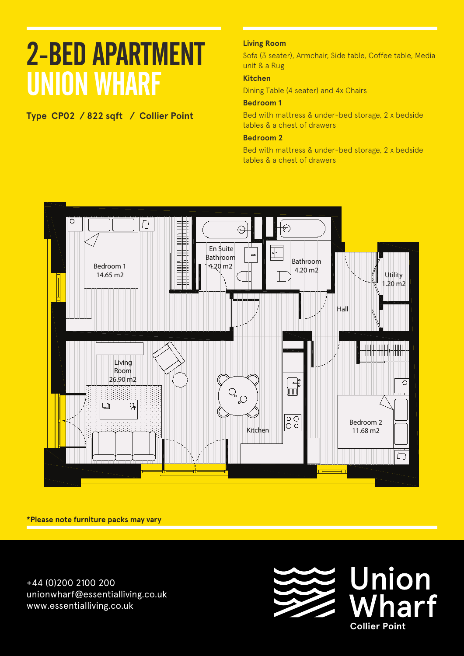## **Type CP02 / 822 sqft / Collier Point**

### **Living Room**

Sofa (3 seater), Armchair, Side table, Coffee table, Media unit & a Rug

### **Kitchen**

Dining Table (4 seater) and 4x Chairs

### **Bedroom 1**

Bed with mattress & under-bed storage, 2 x bedside tables & a chest of drawers

### **Bedroom 2**

Bed with mattress & under-bed storage, 2 x bedside tables & a chest of drawers



**\*Please note furniture packs may vary**

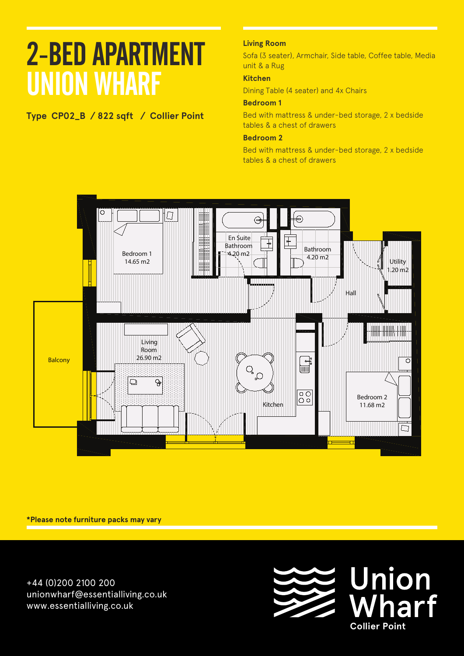## **Type CP02\_B / 822 sqft / Collier Point**

### **Living Room**

Sofa (3 seater), Armchair, Side table, Coffee table, Media unit & a Rug

### **Kitchen**

Dining Table (4 seater) and 4x Chairs

### **Bedroom 1**

Bed with mattress & under-bed storage, 2 x bedside tables & a chest of drawers

### **Bedroom 2**

Bed with mattress & under-bed storage, 2 x bedside tables & a chest of drawers



**\*Please note furniture packs may vary**

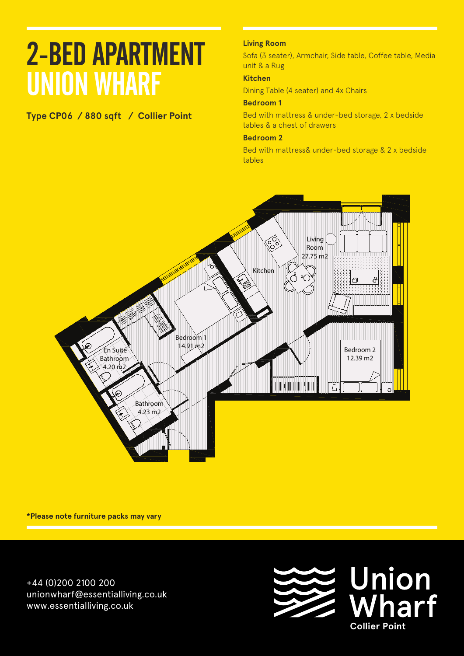## **Type CP06 / 880 sqft / Collier Point**

### **Living Room**

Sofa (3 seater), Armchair, Side table, Coffee table, Media unit & a Rug

### **Kitchen**

Dining Table (4 seater) and 4x Chairs

### **Bedroom 1**

Bed with mattress & under-bed storage, 2 x bedside tables & a chest of drawers

#### **Bedroom 2**

Bed with mattress& under-bed storage & 2 x bedside tables



**\*Please note furniture packs may vary**

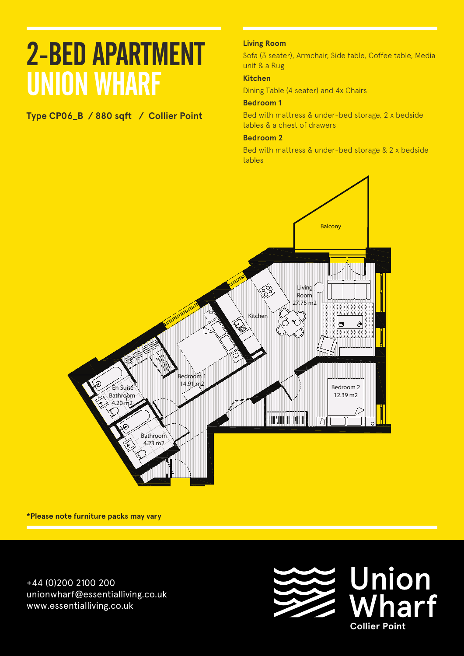# **Type CP06\_B / 880 sqft / Collier Point**

### **Living Room**

Sofa (3 seater), Armchair, Side table, Coffee table, Media unit & a Rug

### **Kitchen**

Dining Table (4 seater) and 4x Chairs

### **Bedroom 1**

Bed with mattress & under-bed storage, 2 x bedside tables & a chest of drawers

## **Floors: Level And A11**

Bed with mattress & under-bed storage & 2 x bedside<br>tables tables



**\*Please note furniture packs may vary**

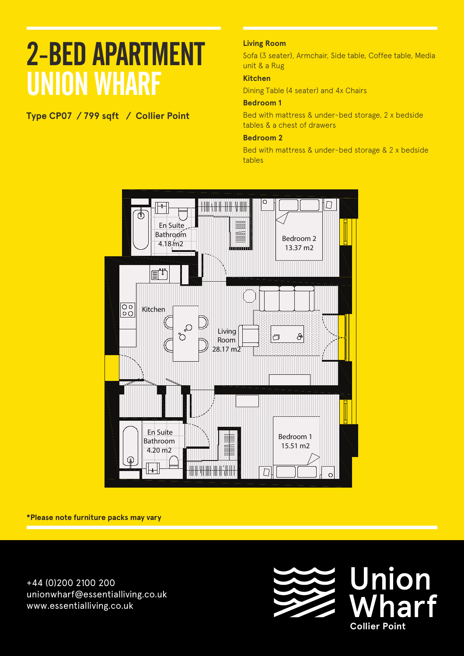**Type CP07 / 799 sqft / Collier Point** 

### **Living Room**

Sofa (3 seater), Armchair, Side table, Coffee table, Media unit & a Rug

### **Kitchen**

Dining Table (4 seater) and 4x Chairs

### **Bedroom 1**

Bed with mattress & under-bed storage, 2 x bedside tables & a chest of drawers

### **Bedroom 2**

Bed with mattress & under-bed storage & 2 x bedside tables



**\*Please note furniture packs may vary**

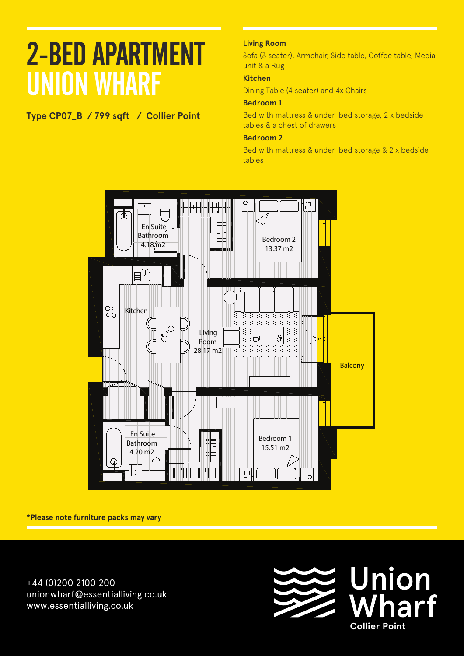## **Type CP07\_B / 799 sqft / Collier Point Apartment A 103**

### **Living Room**

Sofa (3 seater), Armchair, Side table, Coffee table, Media unit & a Rug

### **Kitchen**

Dining Table (4 seater) and 4x Chairs

### **Bedroom 1**

Bed with mattress & under-bed storage, 2 x bedside tables & a chest of drawers

### **Bedroom 2**

Bed with mattress & under-bed storage & 2 x bedside tables



**\*Please note furniture packs may vary**

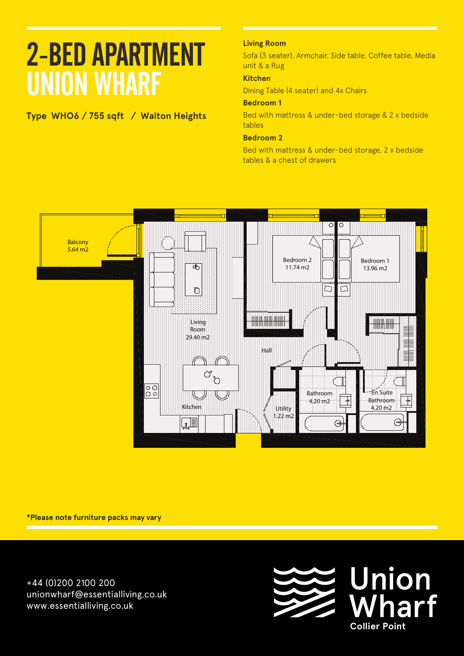# **Type WHO6 / 755 sqft / Walton Heights**

### **Living Room**

Sofa (3 seater), Armchair, Side table, Coffee table, Media unit & a Rug

### **Kitchen**

Dining Table (4 seater) and 4x Chairs

### **Bedroom 1**

Bed with mattress & under-bed storage & 2 x bedside tables

### **Bedroom 2**

Bed with mattress & under-bed storage, 2 x bedside tables & a chest of drawers



**\*Please note furniture packs may vary**

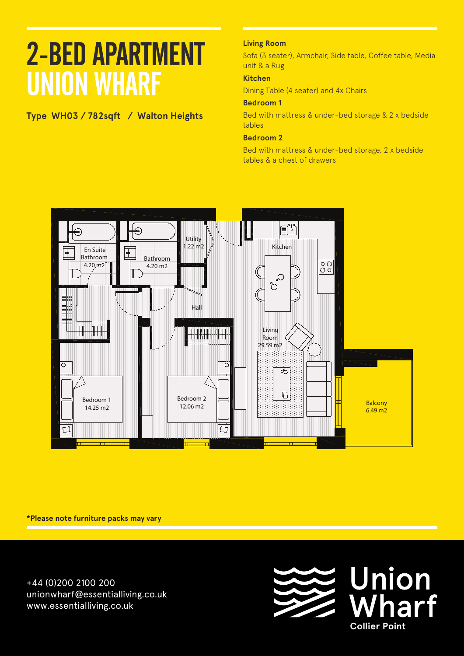## **Type WH03 / 782sqft / Walton Heights**

### **Living Room**

Sofa (3 seater), Armchair, Side table, Coffee table, Media unit & a Rug

### **Kitchen**

Dining Table (4 seater) and 4x Chairs

### **Bedroom 1**

Bed with mattress & under-bed storage & 2 x bedside tables

### **Bedroom 2**

Bed with mattress & under-bed storage, 2 x bedside tables & a chest of drawers



**\*Please note furniture packs may vary**